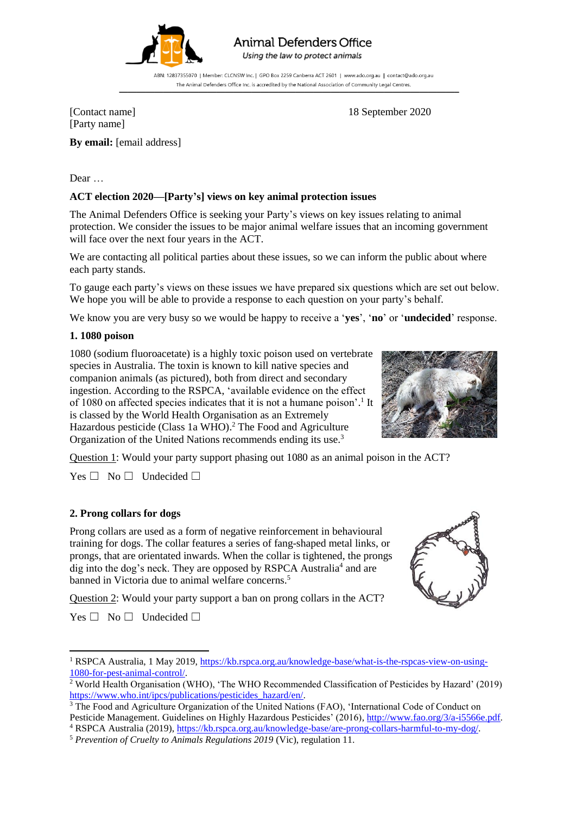

# **Animal Defenders Office**

Using the law to protect animals

ABN: 12837355070 | Member: CLCNSW Inc. | GPO Box 2259 Canberra ACT 2601 | www.ado.org.au | contact@ado.org.au The Animal Defenders Office Inc. is accredited by the National Association of Community Legal Centres.

[Contact name] 18 September 2020 [Party name]

**By email:** [email address]

Dear …

# **ACT election 2020—[Party's] views on key animal protection issues**

The Animal Defenders Office is seeking your Party's views on key issues relating to animal protection. We consider the issues to be major animal welfare issues that an incoming government will face over the next four years in the ACT.

We are contacting all political parties about these issues, so we can inform the public about where each party stands.

To gauge each party's views on these issues we have prepared six questions which are set out below. We hope you will be able to provide a response to each question on your party's behalf.

We know you are very busy so we would be happy to receive a '**yes**', '**no**' or '**undecided**' response.

## **1. 1080 poison**

1080 (sodium fluoroacetate) is a highly toxic poison used on vertebrate species in Australia. The toxin is known to kill native species and companion animals (as pictured), both from direct and secondary ingestion. According to the RSPCA, 'available evidence on the effect of 1080 on affected species indicates that it is not a humane poison'. 1 It is classed by the World Health Organisation as an Extremely Hazardous pesticide (Class 1a WHO). <sup>2</sup> The Food and Agriculture Organization of the United Nations recommends ending its use.<sup>3</sup>



Question 1: Would your party support phasing out 1080 as an animal poison in the ACT?

 $Yes \Box No \Box Undecided \Box$ 

## **2. Prong collars for dogs**

Prong collars are used as a form of negative reinforcement in behavioural training for dogs. The collar features a series of fang-shaped metal links, or prongs, that are orientated inwards. When the collar is tightened, the prongs dig into the dog's neck. They are opposed by RSPCA Australia<sup>4</sup> and are banned in Victoria due to animal welfare concerns.<sup>5</sup>

Question 2: Would your party support a ban on prong collars in the ACT?

 $Yes \Box No \Box Undecided \Box$ 

**.** 



<sup>&</sup>lt;sup>1</sup> RSPCA Australia, 1 May 2019, [https://kb.rspca.org.au/knowledge-base/what-is-the-rspcas-view-on-using-](https://kb.rspca.org.au/knowledge-base/what-is-the-rspcas-view-on-using-1080-for-pest-animal-control/)[1080-for-pest-animal-control/.](https://kb.rspca.org.au/knowledge-base/what-is-the-rspcas-view-on-using-1080-for-pest-animal-control/) 

<sup>&</sup>lt;sup>2</sup> World Health Organisation (WHO), 'The WHO Recommended Classification of Pesticides by Hazard' (2019) [https://www.who.int/ipcs/publications/pesticides\\_hazard/en/.](https://www.who.int/ipcs/publications/pesticides_hazard/en/)

<sup>&</sup>lt;sup>3</sup> The Food and Agriculture Organization of the United Nations (FAO), 'International Code of Conduct on Pesticide Management. Guidelines on Highly Hazardous Pesticides' (2016), [http://www.fao.org/3/a-i5566e.pdf.](http://www.fao.org/3/a-i5566e.pdf) <sup>4</sup> RSPCA Australia (2019)[, https://kb.rspca.org.au/knowledge-base/are-prong-collars-harmful-to-my-dog/.](https://kb.rspca.org.au/knowledge-base/are-prong-collars-harmful-to-my-dog/)

<sup>5</sup> *Prevention of Cruelty to Animals Regulations 2019* (Vic), regulation 11.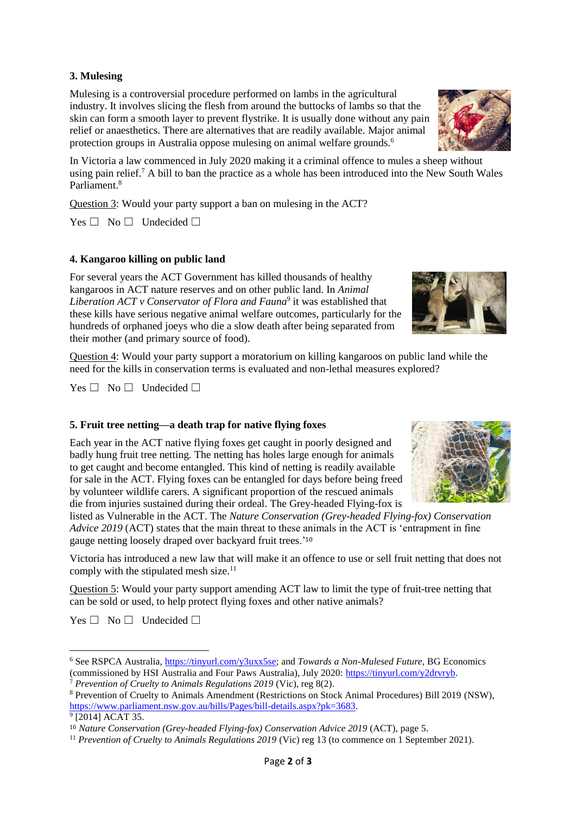## **3. Mulesing**

Mulesing is a controversial procedure performed on lambs in the agricultural industry. It involves slicing the flesh from around the buttocks of lambs so that the skin can form a smooth layer to prevent flystrike. It is usually done without any pain relief or anaesthetics. There are alternatives that are readily available. Major animal protection groups in Australia oppose mulesing on animal welfare grounds.<sup>6</sup>

In Victoria a law commenced in July 2020 making it a criminal offence to mules a sheep without using pain relief.<sup>7</sup> A bill to ban the practice as a whole has been introduced into the New South Wales Parliament.<sup>8</sup>

Question 3: Would your party support a ban on mulesing in the ACT?

Yes □ No □ Undecided □

## **4. Kangaroo killing on public land**

For several years the ACT Government has killed thousands of healthy kangaroos in ACT nature reserves and on other public land. In *Animal Liberation ACT v Conservator of Flora and Fauna*<sup>9</sup> it was established that these kills have serious negative animal welfare outcomes, particularly for the hundreds of orphaned joeys who die a slow death after being separated from their mother (and primary source of food).

Question 4: Would your party support a moratorium on killing kangaroos on public land while the need for the kills in conservation terms is evaluated and non-lethal measures explored?

 $Yes \Box No \Box Undecided \Box$ 

#### **5. Fruit tree netting—a death trap for native flying foxes**

Each year in the ACT native flying foxes get caught in poorly designed and badly hung fruit tree netting. The netting has holes large enough for animals to get caught and become entangled. This kind of netting is readily available for sale in the ACT. Flying foxes can be entangled for days before being freed by volunteer wildlife carers. A significant proportion of the rescued animals die from injuries sustained during their ordeal. The Grey-headed Flying-fox is

listed as Vulnerable in the ACT. The *Nature Conservation (Grey-headed Flying-fox) Conservation Advice 2019* (ACT) states that the main threat to these animals in the ACT is 'entrapment in fine gauge netting loosely draped over backyard fruit trees.'<sup>10</sup>

Victoria has introduced a new law that will make it an offence to use or sell fruit netting that does not comply with the stipulated mesh size.<sup>11</sup>

Question 5: Would your party support amending ACT law to limit the type of fruit-tree netting that can be sold or used, to help protect flying foxes and other native animals?

 $Yes \Box No \Box Undecided \Box$ 

1







<sup>6</sup> See RSPCA Australia, [https://tinyurl.com/y3uxx5se;](https://tinyurl.com/y3uxx5se) and *Towards a Non-Mulesed Future*, BG Economics (commissioned by HSI Australia and Four Paws Australia), July 2020: [https://tinyurl.com/y2drvryb.](https://tinyurl.com/y2drvryb)

<sup>7</sup> *Prevention of Cruelty to Animals Regulations 2019* (Vic), reg 8(2).

<sup>8</sup> Prevention of Cruelty to Animals Amendment (Restrictions on Stock Animal Procedures) Bill 2019 (NSW), [https://www.parliament.nsw.gov.au/bills/Pages/bill-details.aspx?pk=3683.](https://www.parliament.nsw.gov.au/bills/Pages/bill-details.aspx?pk=3683)

<sup>9</sup> [2014] ACAT 35.

<sup>10</sup> *Nature Conservation (Grey-headed Flying-fox) Conservation Advice 2019* (ACT), page 5.

<sup>&</sup>lt;sup>11</sup> *Prevention of Cruelty to Animals Regulations 2019* (Vic) reg 13 (to commence on 1 September 2021).